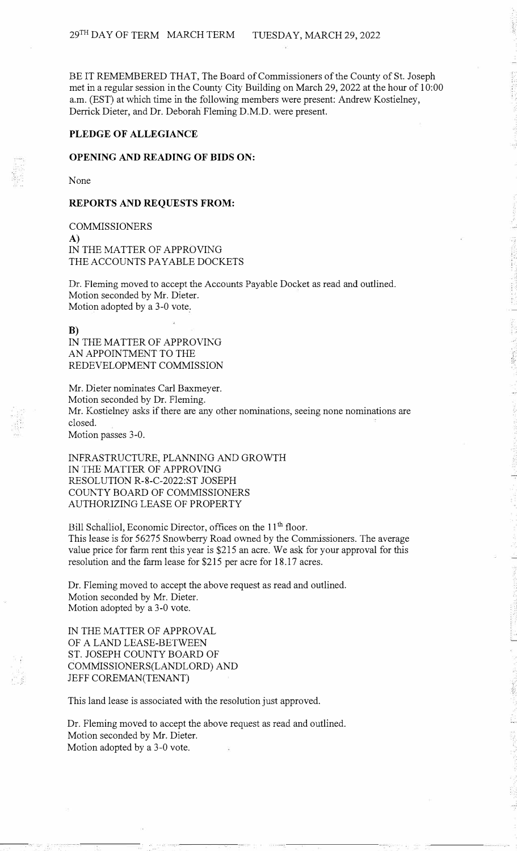BE IT REMEMBERED THAT, The Board of Commissioners of the County of St. Joseph met in a regular session in the County City Building on March 29, 2022 at the hour of I 0:00 a.m. (EST) at which time in the following members were present: Andrew Kostielney, Derrick Dieter, and Dr. Deborah Fleming D.M.D. were present.

### **PLEDGE OF ALLEGIANCE**

## **OPENING AND READING OF BIDS ON:**

None

#### **REPORTS AND REQUESTS FROM:**

COMMISSIONERS **A)**  IN THE MATTER OF APPROVING THE ACCOUNTS PAY ABLE DOCKETS

Dr. Fleming moved to accept the Accounts Payable Docket as read and outlined. Motion seconded by Mr. Dieter. Motion adopted by a 3-0 vote.

#### **B)**

IN THE MATTER OF APPROVING AN APPOINTMENT TO THE REDEVELOPMENT COMMISSION

Mr. Dieter nominates Carl Baxmeyer. Motion seconded by Dr. Fleming. Mr. Kostielney asks if there are any other nominations, seeing none nominations are closed. Motion passes 3-0.

INFRASTRUCTURE, PLANNING AND GROWTH IN THE MATTER OF APPROVING RESOLUTION R-8-C-2022:ST JOSEPH COUNTY BOARD OF COMMISSIONERS

AUTHORIZING LEASE OF PROPERTY

Bill Schalliol, Economic Director, offices on the 11<sup>th</sup> floor. This lease is for 56275 Snowberry Road owned by the Commissioners. The average value price for farm rent this year is \$215 an acre. We ask for your approval for this resolution and the farm lease for \$215 per acre for 18 .17 acres.

Dr. Fleming moved to accept the above request as read and outlined. Motion seconded by Mr. Dieter. Motion adopted by a 3-0 vote.

IN THE MATTER OF APPROVAL OF A LAND LEASE-BETWEEN ST. JOSEPH COUNTY BOARD OF COMMISSIONERS(LANDLORD) AND JEFF COREMAN(TENANT)

This land lease is associated with the resolution just approved.

Dr. Fleming moved to accept the above request as read and outlined. Motion seconded by Mr. Dieter. Motion adopted by a 3-0 vote.